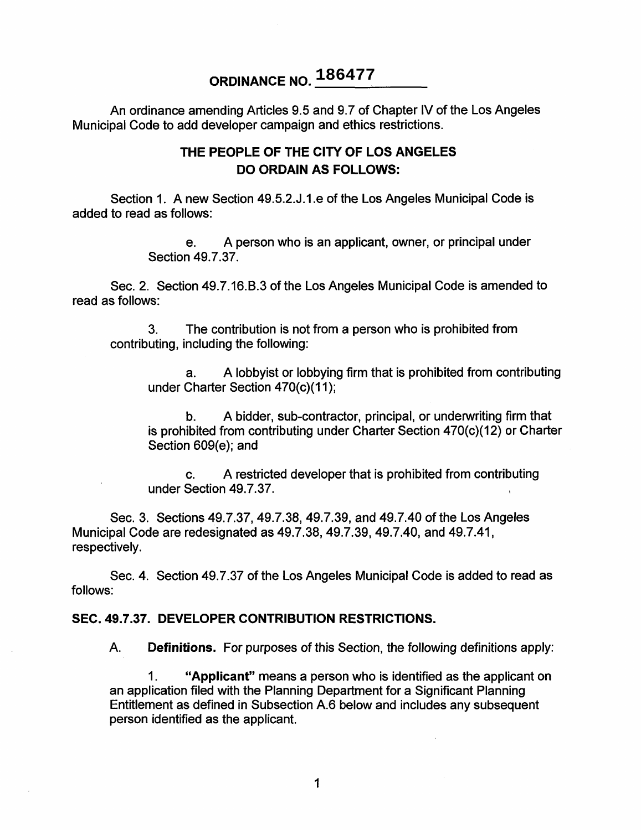# **ORDINANCE NO. 186477**

An ordinance amending Articles 9.5 and 9.7 of Chapter IV of the Los Angeles Municipal Code to add developer campaign and ethics restrictions.

### **THE PEOPLE OF THE CITY OF LOS ANGELES DO ORDAIN AS FOLLOWS:**

Section 1. A new Section 49.5.2.J.1.e of the Los Angeles Municipal Code is added to read as follows:

> e. A person who is an applicant, owner, or principal under Section 49.7.37.

Sec. 2. Section 49.7.16.B.3 of the Los Angeles Municipal Code is amended to read as follows:

The contribution is not from a person who is prohibited from contributing, including the following: 3.

A lobbyist or lobbying firm that is prohibited from contributing under Charter Section 470(c)(11); a.

A bidder, sub-contractor, principal, or underwriting firm that is prohibited from contributing under Charter Section 470(c)(12) or Charter Section 609(e); and b.

c. A restricted developer that is prohibited from contributing under Section 49.7.37.

Sec. 3. Sections 49.7.37, 49.7.38, 49.7.39, and 49.7.40 of the Los Angeles Municipal Code are redesignated as 49.7.38, 49.7.39, 49.7.40, and 49.7.41, respectively.

Sec. 4. Section 49.7.37 of the Los Angeles Municipal Code is added to read as follows:

#### **SEC. 49.7.37. DEVELOPER CONTRIBUTION RESTRICTIONS.**

A. Definitions. For purposes of this Section, the following definitions apply:

Applicant" means a person who is identified as the applicant on an application filed with the Planning Department for a Significant Planning Entitlement as defined in Subsection A.6 below and includes any subsequent person identified as the applicant. **1.**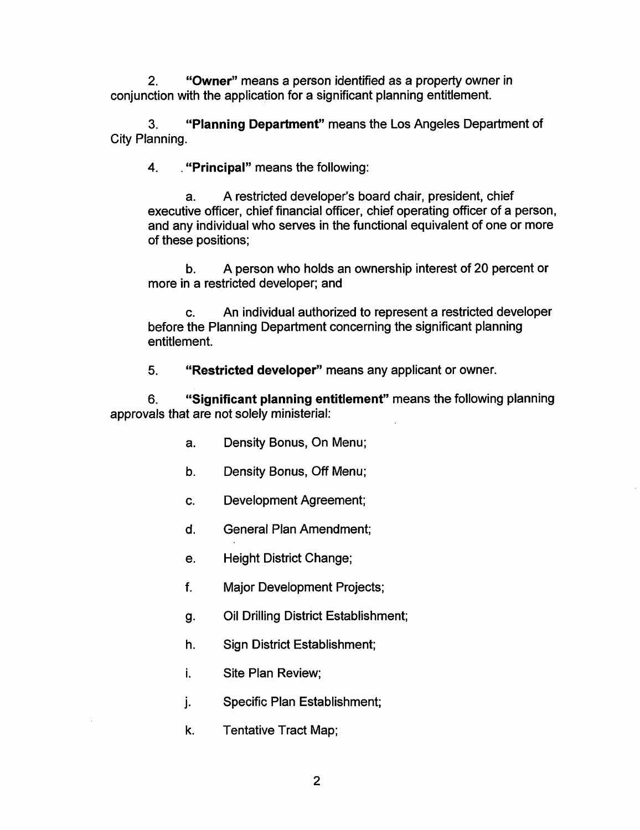**Owner"** means a person identified as a property owner in conjunction with the application for a significant planning entitlement. **2.**

**Planning Department"** means the Los Angeles Department of 3. City Planning.

4. **. "Principal"** means the following:

A restricted developer's board chair, president, chief executive officer, chief financial officer, chief operating officer of a person, and any individual who serves in the functional equivalent of one or more of these positions; a.

A person who holds an ownership interest of 20 percent or more in a restricted developer; and b.

An individual authorized to represent a restricted developer before the Planning Department concerning the significant planning entitlement. c.

**Restricted developer"** means any applicant or owner. 5.

**Significant planning entitlement"** means the following planning approvals that are not solely ministerial: 6**.**

- a. Density Bonus, On Menu;
- b. Density Bonus, Off Menu;
- c. Development Agreement;
- d. General Plan Amendment;
- e. Height District Change;
- f. Major Development Projects;
- **g-** Oil Drilling District Establishment;
- h. Sign District Establishment;
- **i.** Site Plan Review;
- j. Specific Plan Establishment;
- k. Tentative Tract Map;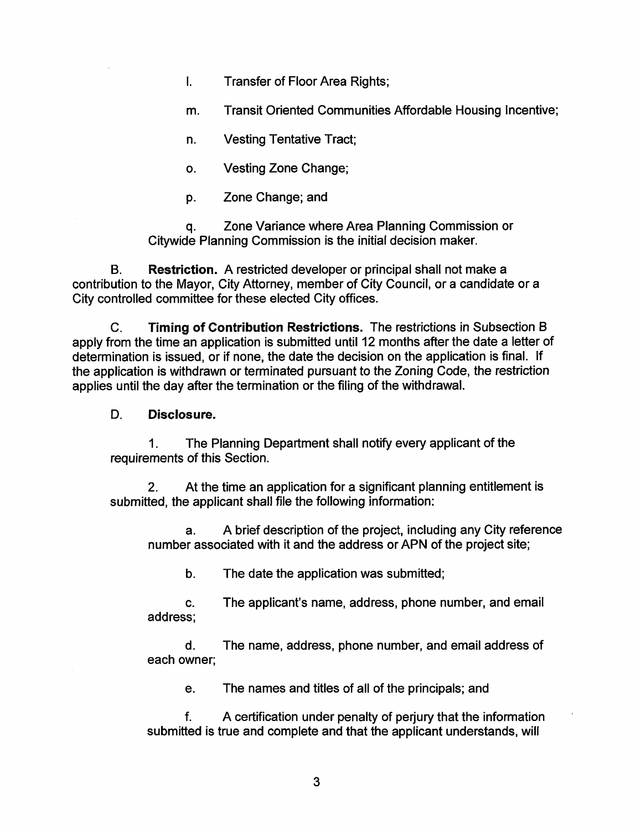- $\mathbf{L}$ Transfer of Floor Area Rights;
- **m.** Transit Oriented Communities Affordable Housing Incentive;
- n. Vesting Tentative Tract;
- **o.** Vesting Zone Change;
- p. Zone Change; and

Zone Variance where Area Planning Commission or Citywide Planning Commission is the initial decision maker. **q-**

Restriction. A restricted developer or principal shall not make a contribution to the Mayor, City Attorney, member of City Council, or a candidate or a City controlled committee for these elected City offices. B.

Timing of Contribution Restrictions. The restrictions in Subsection B apply from the time an application is submitted until 12 months after the date a letter of determination is issued, or if none, the date the decision on the application is final. If the application is withdrawn or terminated pursuant to the Zoning Code, the restriction applies until the day after the termination or the filing of the withdrawal. C.

#### D. Disclosure.

The Planning Department shall notify every applicant of the requirements of this Section. **1.**

At the time an application for a significant planning entitlement is submitted, the applicant shall file the following information: **2.**

A brief description of the project, including any City reference number associated with it and the address or APN of the project site; a.

b. The date the application was submitted;

c. The applicant's name, address, phone number, and email address;

d. The name, address, phone number, and email address of each owner;

e. The names and titles of all of the principals; and

A certification under penalty of perjury that the information submitted is true and complete and that the applicant understands, will f.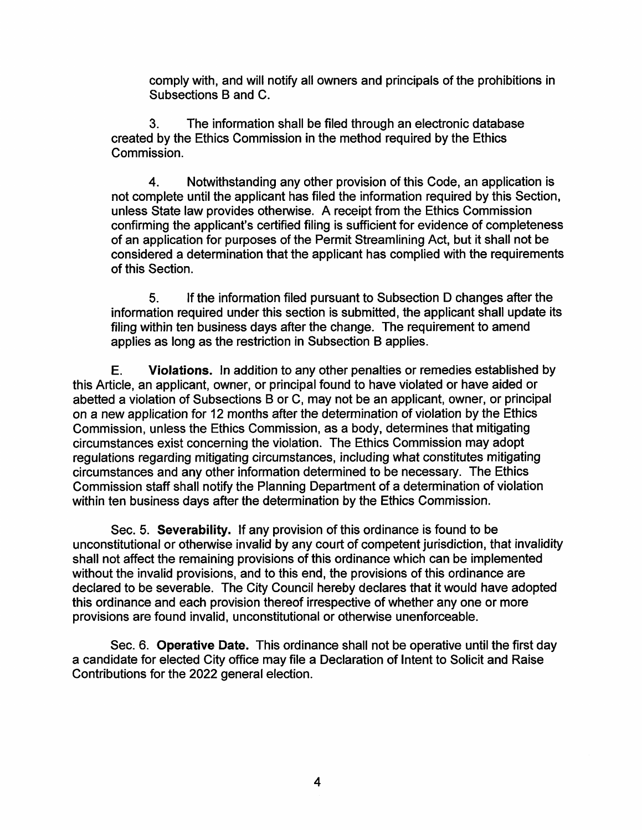comply with, and will notify all owners and principals of the prohibitions in Subsections B and C.

The information shall be filed through an electronic database created by the Ethics Commission in the method required by the Ethics Commission. 3.

Notwithstanding any other provision of this Code, an application is not complete until the applicant has filed the information required by this Section, unless State law provides otherwise. A receipt from the Ethics Commission confirming the applicant's certified filing is sufficient for evidence of completeness of an application for purposes of the Permit Streamlining Act, but it shall not be considered a determination that the applicant has complied with the requirements of this Section. 4.

If the information filed pursuant to Subsection D changes after the information required under this section is submitted, the applicant shall update its filing within ten business days after the change. The requirement to amend applies as long as the restriction in Subsection B applies. 5.

Violations. In addition to any other penalties or remedies established by this Article, an applicant, owner, or principal found to have violated or have aided or abetted a violation of Subsections B or C, may not be an applicant, owner, or principal on a new application for 12 months after the determination of violation by the Ethics Commission, unless the Ethics Commission, as a body, determines that mitigating circumstances exist concerning the violation. The Ethics Commission may adopt regulations regarding mitigating circumstances, including what constitutes mitigating circumstances and any other information determined to be necessary. The Ethics Commission staff shall notify the Planning Department of a determination of violation within ten business days after the determination by the Ethics Commission. E.

Sec. 5. Severability. If any provision of this ordinance is found to be unconstitutional or otherwise invalid by any court of competent jurisdiction, that invalidity shall not affect the remaining provisions of this ordinance which can be implemented without the invalid provisions, and to this end, the provisions of this ordinance are declared to be severable. The City Council hereby declares that it would have adopted this ordinance and each provision thereof irrespective of whether any one or more provisions are found invalid, unconstitutional or otherwise unenforceable.

Sec. 6. Operative Date. This ordinance shall not be operative until the first day a candidate for elected City office may file a Declaration of Intent to Solicit and Raise Contributions for the 2022 general election.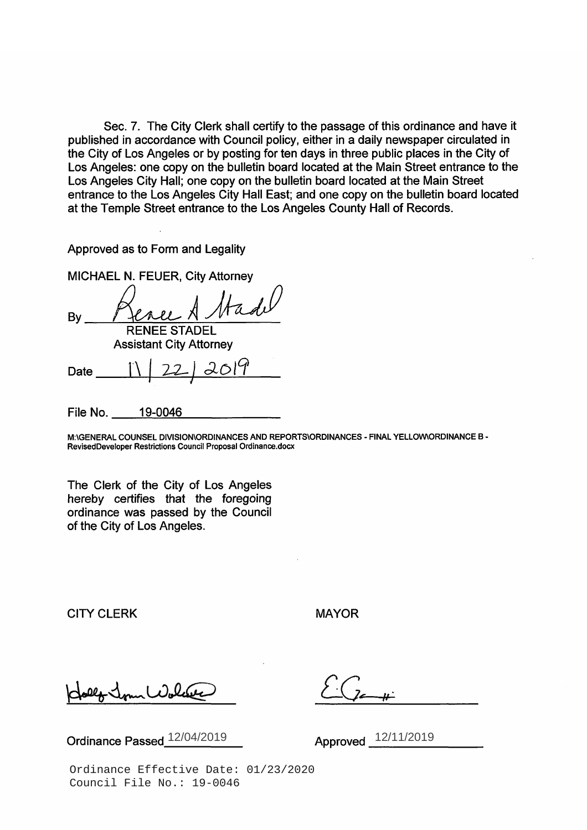Sec. 7. The City Clerk shall certify to the passage of this ordinance and have it published in accordance with Council policy, either in a daily newspaper circulated in the City of Los Angeles or by posting for ten days in three public places in the City of Los Angeles: one copy on the bulletin board located at the Main Street entrance to the Los Angeles City Hall; one copy on the bulletin board located at the Main Street entrance to the Los Angeles City Hall East; and one copy on the bulletin board located at the Temple Street entrance to the Los Angeles County Hall of Records.

Approved as to Form and Legality

MICHAEL N. FEUER, City Attorney By RENEE STADEL Assistant City Attorney

Date **<sup>1</sup>**\ [ *12-J <3.019*

File No. 19-0046

**M:\GENERAL COUNSEL DIVISION\ORDINANCES AND REPORTS\ORDINANCES - FINAL YELLOW\ORDINANCE B - RevisedDeveloper Restrictions Council Proposal Ordinance.docx**

The Clerk of the City of Los Angeles hereby certifies that the foregoing ordinance was passed by the Council of the City of Los Angeles.

CITY CLERK MAYOR

**Ordinance Passed**  $\frac{12}{04/2019}$  **Approved**  $\frac{12}{11/2019}$ 

Ordinance Effective Date: 01/23/2020 Council File No.: 19-0046